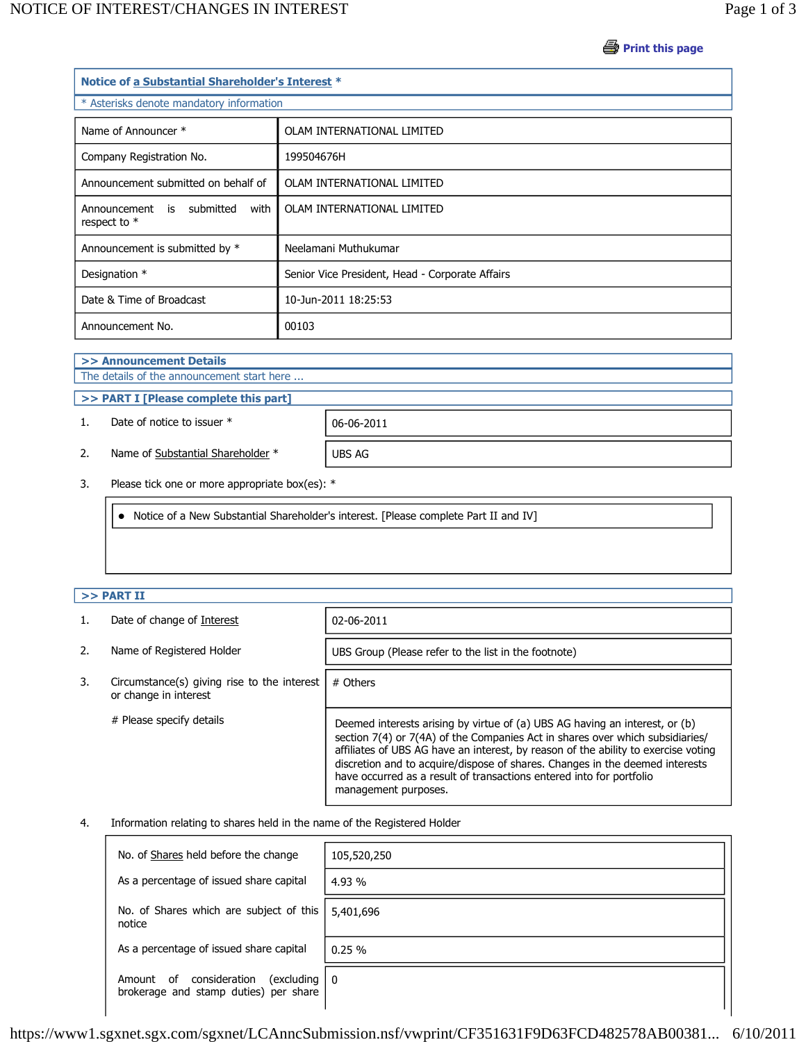**Print this page** 

| Notice of a Substantial Shareholder's Interest *  |                                                 |  |  |  |
|---------------------------------------------------|-------------------------------------------------|--|--|--|
| * Asterisks denote mandatory information          |                                                 |  |  |  |
| Name of Announcer *                               | OLAM INTERNATIONAL LIMITED                      |  |  |  |
| Company Registration No.                          | 199504676H                                      |  |  |  |
| Announcement submitted on behalf of               | OLAM INTERNATIONAL LIMITED                      |  |  |  |
| Announcement is submitted<br>with<br>respect to * | OLAM INTERNATIONAL LIMITED                      |  |  |  |
| Announcement is submitted by *                    | Neelamani Muthukumar                            |  |  |  |
| Designation *                                     | Senior Vice President, Head - Corporate Affairs |  |  |  |
| Date & Time of Broadcast                          | 10-Jun-2011 18:25:53                            |  |  |  |
| Announcement No.                                  | 00103                                           |  |  |  |

**>> Announcement Details**

The details of the announcement start here ...

**>> PART I [Please complete this part]**

1. Date of notice to issuer \* 06-06-2011

2. Name of Substantial Shareholder \* UBS AG

3. Please tick one or more appropriate box(es): \*

Notice of a New Substantial Shareholder's interest. [Please complete Part II and IV]

## **>> PART II**

|    | Date of change of Interest                                           | 02-06-2011                                                                                                                                                                                                                                                                                                                                                                                                                         |
|----|----------------------------------------------------------------------|------------------------------------------------------------------------------------------------------------------------------------------------------------------------------------------------------------------------------------------------------------------------------------------------------------------------------------------------------------------------------------------------------------------------------------|
| 2. | Name of Registered Holder                                            | UBS Group (Please refer to the list in the footnote)                                                                                                                                                                                                                                                                                                                                                                               |
| 3. | Circumstance(s) giving rise to the interest<br>or change in interest | # Others                                                                                                                                                                                                                                                                                                                                                                                                                           |
|    | # Please specify details                                             | Deemed interests arising by virtue of (a) UBS AG having an interest, or (b)<br>section 7(4) or 7(4A) of the Companies Act in shares over which subsidiaries/<br>affiliates of UBS AG have an interest, by reason of the ability to exercise voting<br>discretion and to acquire/dispose of shares. Changes in the deemed interests<br>have occurred as a result of transactions entered into for portfolio<br>management purposes. |

### 4. Information relating to shares held in the name of the Registered Holder

| No. of Shares held before the change                                              | 105,520,250 |
|-----------------------------------------------------------------------------------|-------------|
| As a percentage of issued share capital                                           | 4.93 %      |
| No. of Shares which are subject of this<br>notice                                 | 5,401,696   |
| As a percentage of issued share capital                                           | 0.25%       |
| consideration<br>(excluding<br>Amount of<br>brokerage and stamp duties) per share | ∣ ∩         |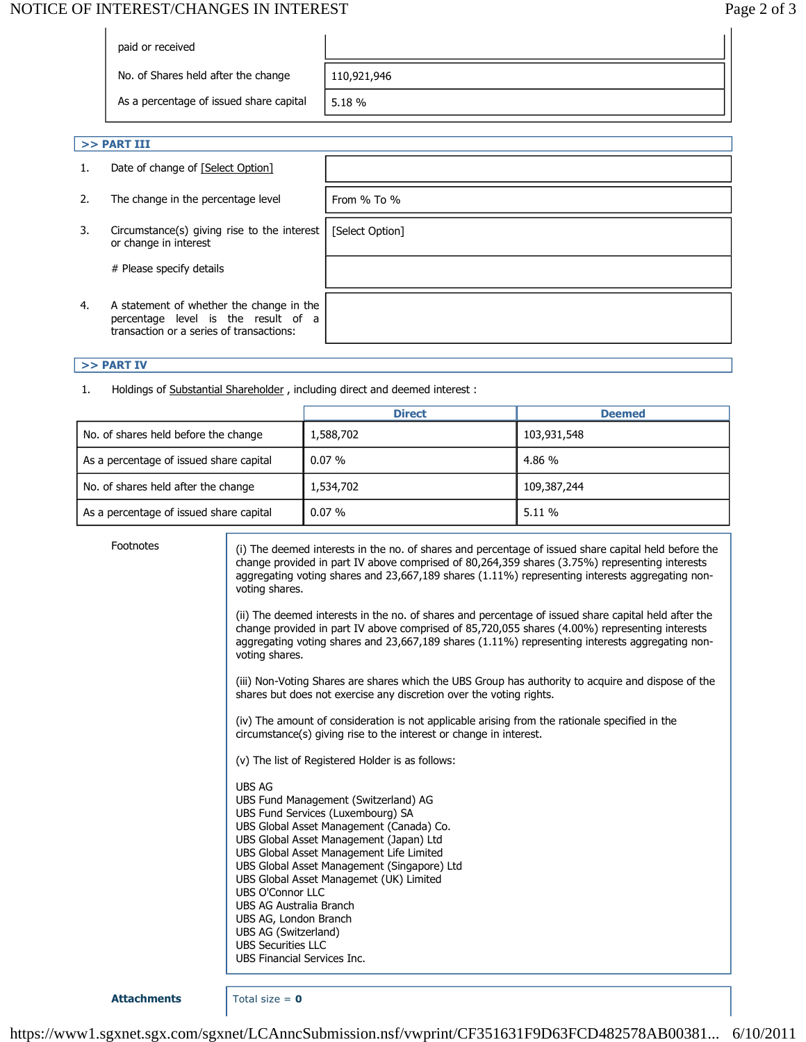# NOTICE OF INTEREST/CHANGES IN INTEREST **Page 2 of 3**

| paid or received                        |             |
|-----------------------------------------|-------------|
| No. of Shares held after the change     | 110,921,946 |
| As a percentage of issued share capital | 5.18 %      |
|                                         |             |

[Select Option]

## **>> PART III**

- 1. Date of change of [Select Option]
- 2. The change in the percentage level  $\vert$  From % To %
- 3. Circumstance(s) giving rise to the interest or change in interest

# Please specify details

4. A statement of whether the change in the percentage level is the result of a transaction or a series of transactions:

#### **>> PART IV**

1. Holdings of Substantial Shareholder , including direct and deemed interest :

|                                         | <b>Direct</b> | <b>Deemed</b> |
|-----------------------------------------|---------------|---------------|
| No. of shares held before the change    | 1,588,702     | 103,931,548   |
| As a percentage of issued share capital | $0.07\%$      | 4.86 %        |
| No. of shares held after the change     | 1,534,702     | 109,387,244   |
| As a percentage of issued share capital | $0.07\%$      | 5.11%         |

Footnotes (i) The deemed interests in the no. of shares and percentage of issued share capital held before the change provided in part IV above comprised of 80,264,359 shares (3.75%) representing interests aggregating voting shares and 23,667,189 shares (1.11%) representing interests aggregating nonvoting shares.

> (ii) The deemed interests in the no. of shares and percentage of issued share capital held after the change provided in part IV above comprised of 85,720,055 shares (4.00%) representing interests aggregating voting shares and 23,667,189 shares (1.11%) representing interests aggregating nonvoting shares.

> (iii) Non-Voting Shares are shares which the UBS Group has authority to acquire and dispose of the shares but does not exercise any discretion over the voting rights.

(iv) The amount of consideration is not applicable arising from the rationale specified in the circumstance(s) giving rise to the interest or change in interest.

- (v) The list of Registered Holder is as follows:
- UBS AG UBS Fund Management (Switzerland) AG UBS Fund Services (Luxembourg) SA UBS Global Asset Management (Canada) Co. UBS Global Asset Management (Japan) Ltd UBS Global Asset Management Life Limited UBS Global Asset Management (Singapore) Ltd UBS Global Asset Managemet (UK) Limited UBS O'Connor LLC UBS AG Australia Branch UBS AG, London Branch UBS AG (Switzerland) UBS Securities LLC UBS Financial Services Inc.

**Attachments** Total size = **0**